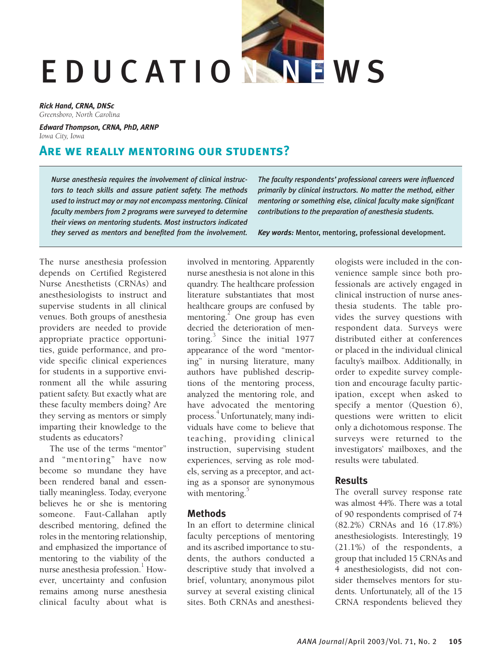# EDUCATION NEWS

*Rick Hand, CRNA, DNSc Greensboro, North Carolina*

*Edward Thompson, CRNA, PhD, ARNP Iowa City, Iowa*

# **Are we really mentoring our students?**

*Nurse anesthesia requires the involvement of clinical instructors to teach skills and assure patient safety. The methods used to instruct may or may not encompass mentoring. Clinical faculty members from 2 programs were surveyed to determine their views on mentoring students. Most instructors indicated they served as mentors and benefited from the involvement.*

*The faculty respondents' professional careers were influenced primarily by clinical instructors. No matter the method, either mentoring or something else, clinical faculty make significant contributions to the preparation of anesthesia students.*

*Key words:* Mentor, mentoring, professional development.

The nurse anesthesia profession depends on Certified Registered Nurse Anesthetists (CRNAs) and anesthesiologists to instruct and supervise students in all clinical venues. Both groups of anesthesia providers are needed to provide appropriate practice opportunities, guide performance, and provide specific clinical experiences for students in a supportive environment all the while assuring patient safety. But exactly what are these faculty members doing? Are they serving as mentors or simply imparting their knowledge to the students as educators?

The use of the terms "mentor" and "mentoring" have now become so mundane they have been rendered banal and essentially meaningless. Today, everyone believes he or she is mentoring someone. Faut-Callahan aptly described mentoring, defined the roles in the mentoring relationship, and emphasized the importance of mentoring to the viability of the nurse anesthesia profession.<sup>1</sup> However, uncertainty and confusion remains among nurse anesthesia clinical faculty about what is

involved in mentoring. Apparently nurse anesthesia is not alone in this quandry. The healthcare profession literature substantiates that most healthcare groups are confused by mentoring. $^{2}$  One group has even decried the deterioration of mentoring.<sup>3</sup> Since the initial 1977 appearance of the word "mentoring" in nursing literature, many authors have published descriptions of the mentoring process, analyzed the mentoring role, and have advocated the mentoring process. <sup>4</sup>Unfortunately, many individuals have come to believe that teaching, providing clinical instruction, supervising student experiences, serving as role models, serving as a preceptor, and acting as a sponsor are synonymous with mentoring. $\overline{5}$ 

### **Methods**

In an effort to determine clinical faculty perceptions of mentoring and its ascribed importance to students, the authors conducted a descriptive study that involved a brief, voluntary, anonymous pilot survey at several existing clinical sites. Both CRNAs and anesthesiologists were included in the convenience sample since both professionals are actively engaged in clinical instruction of nurse anesthesia students. The table provides the survey questions with respondent data. Surveys were distributed either at conferences or placed in the individual clinical faculty's mailbox. Additionally, in order to expedite survey completion and encourage faculty participation, except when asked to specify a mentor (Question 6), questions were written to elicit only a dichotomous response. The surveys were returned to the investigators' mailboxes, and the results were tabulated.

# **Results**

The overall survey response rate was almost 44%. There was a total of 90 respondents comprised of 74 (82.2%) CRNAs and 16 (17.8%) anesthesiologists. Interestingly, 19 (21.1%) of the respondents, a group that included 15 CRNAs and 4 anesthesiologists, did not consider themselves mentors for students. Unfortunately, all of the 15 CRNA respondents believed they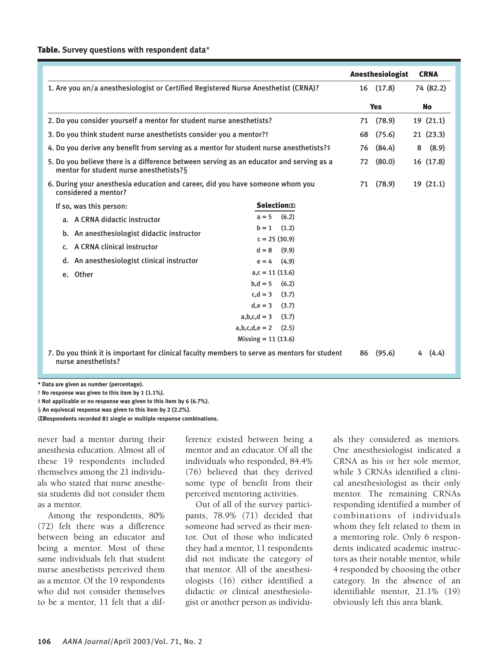#### Table. **Survey questions with respondent data**\*

|                                                                                                                                    |                                    |    | <b>Anesthesiologist</b> | <b>CRNA</b> |
|------------------------------------------------------------------------------------------------------------------------------------|------------------------------------|----|-------------------------|-------------|
| 1. Are you an/a anesthesiologist or Certified Registered Nurse Anesthetist (CRNA)?                                                 |                                    |    | 16 (17.8)               | 74 (82.2)   |
|                                                                                                                                    |                                    |    |                         |             |
|                                                                                                                                    |                                    |    | <b>Yes</b>              | <b>No</b>   |
| 2. Do you consider yourself a mentor for student nurse anesthetists?                                                               |                                    | 71 | (78.9)                  | 19(21.1)    |
| 3. Do you think student nurse anesthetists consider you a mentor? T                                                                |                                    | 68 | (75.6)                  | 21(23.3)    |
| 4. Do you derive any benefit from serving as a mentor for student nurse anesthetists?#                                             |                                    | 76 | (84.4)                  | (8.9)<br>8  |
| 5. Do you believe there is a difference between serving as an educator and serving as a<br>mentor for student nurse anesthetists?§ |                                    | 72 | (80.0)                  | 16 (17.8)   |
| 6. During your anesthesia education and career, did you have someone whom you<br>considered a mentor?                              |                                    | 71 | (78.9)                  | 19(21.1)    |
| If so, was this person:                                                                                                            | <b>Selection</b> <sub>20</sub>     |    |                         |             |
| a. A CRNA didactic instructor                                                                                                      | (6.2)<br>$a = 5$                   |    |                         |             |
| b. An anesthesiologist didactic instructor                                                                                         | (1.2)<br>$b = 1$                   |    |                         |             |
| A CRNA clinical instructor<br>c.                                                                                                   | $c = 25(30.9)$<br>(9.9)<br>$d = 8$ |    |                         |             |
| An anesthesiologist clinical instructor<br>d.                                                                                      | (4.9)<br>$e = 4$                   |    |                         |             |
| e. Other                                                                                                                           | $a, c = 11(13.6)$                  |    |                         |             |
|                                                                                                                                    | (6.2)<br>$b, d = 5$                |    |                         |             |
|                                                                                                                                    | $c.d = 3$<br>(3.7)                 |    |                         |             |
|                                                                                                                                    | (3.7)<br>$d,e = 3$                 |    |                         |             |
|                                                                                                                                    | $a,b,c,d = 3$<br>(3.7)             |    |                         |             |
|                                                                                                                                    | $a, b, c, d, e = 2$<br>(2.5)       |    |                         |             |
|                                                                                                                                    | Missing = $11(13.6)$               |    |                         |             |
| 7. Do you think it is important for clinical faculty members to serve as mentors for student<br>nurse anesthetists?                |                                    |    | (95.6)<br>86            | (4.4)       |

**\* Data are given as number (percentage).**

† **No response was given to this item by 1 (1.1%).**

‡ **Not applicable or no response was given to this item by 6 (6.7%).**

§ **An equivocal response was given to this item by 2 (2.2%).**

ΩΩ**Respondents recorded 81 single or multiple response combinations.**

never had a mentor during their anesthesia education. Almost all of these 19 respondents included themselves among the 21 individuals who stated that nurse anesthesia students did not consider them as a mentor.

Among the respondents, 80% (72) felt there was a difference between being an educator and being a mentor. Most of these same individuals felt that student nurse anesthetists perceived them as a mentor. Of the 19 respondents who did not consider themselves to be a mentor, 11 felt that a difference existed between being a mentor and an educator. Of all the individuals who responded, 84.4% (76) believed that they derived some type of benefit from their perceived mentoring activities.

Out of all of the survey participants, 78.9% (71) decided that someone had served as their mentor. Out of those who indicated they had a mentor, 11 respondents did not indicate the category of that mentor. All of the anesthesiologists (16) either identified a didactic or clinical anesthesiologist or another person as individuals they considered as mentors. One anesthesiologist indicated a CRNA as his or her sole mentor, while 3 CRNAs identified a clinical anesthesiologist as their only mentor. The remaining CRNAs responding identified a number of combinations of individuals whom they felt related to them in a mentoring role. Only 6 respondents indicated academic instructors as their notable mentor, while 4 responded by choosing the other category. In the absence of an identifiable mentor, 21.1% (19) obviously left this area blank.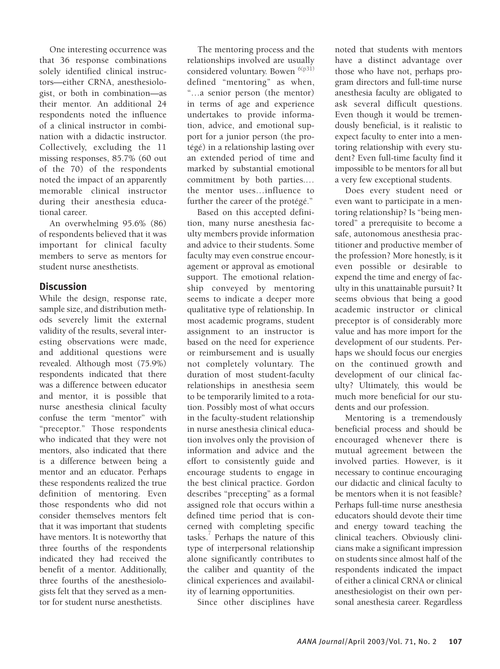One interesting occurrence was that 36 response combinations solely identified clinical instructors—either CRNA, anesthesiologist, or both in combination—as their mentor. An additional 24 respondents noted the influence of a clinical instructor in combination with a didactic instructor. Collectively, excluding the 11 missing responses, 85.7% (60 out of the 70) of the respondents noted the impact of an apparently memorable clinical instructor during their anesthesia educational career.

An overwhelming 95.6% (86) of respondents believed that it was important for clinical faculty members to serve as mentors for student nurse anesthetists.

## **Discussion**

While the design, response rate, sample size, and distribution methods severely limit the external validity of the results, several interesting observations were made, and additional questions were revealed. Although most (75.9%) respondents indicated that there was a difference between educator and mentor, it is possible that nurse anesthesia clinical faculty confuse the term "mentor" with "preceptor." Those respondents who indicated that they were not mentors, also indicated that there is a difference between being a mentor and an educator. Perhaps these respondents realized the true definition of mentoring. Even those respondents who did not consider themselves mentors felt that it was important that students have mentors. It is noteworthy that three fourths of the respondents indicated they had received the benefit of a mentor. Additionally, three fourths of the anesthesiologists felt that they served as a mentor for student nurse anesthetists.

The mentoring process and the relationships involved are usually considered voluntary. Bowen  $6(p31)$ defined "mentoring" as when, "…a senior person (the mentor) in terms of age and experience undertakes to provide information, advice, and emotional support for a junior person (the protégé) in a relationship lasting over an extended period of time and marked by substantial emotional commitment by both parties.… the mentor uses…influence to further the career of the protégé."

Based on this accepted definition, many nurse anesthesia faculty members provide information and advice to their students. Some faculty may even construe encouragement or approval as emotional support. The emotional relationship conveyed by mentoring seems to indicate a deeper more qualitative type of relationship. In most academic programs, student assignment to an instructor is based on the need for experience or reimbursement and is usually not completely voluntary. The duration of most student-faculty relationships in anesthesia seem to be temporarily limited to a rotation. Possibly most of what occurs in the faculty-student relationship in nurse anesthesia clinical education involves only the provision of information and advice and the effort to consistently guide and encourage students to engage in the best clinical practice. Gordon describes "precepting" as a formal assigned role that occurs within a defined time period that is concerned with completing specific tasks.<sup>7</sup> Perhaps the nature of this type of interpersonal relationship alone significantly contributes to the caliber and quantity of the clinical experiences and availability of learning opportunities.

Since other disciplines have

noted that students with mentors have a distinct advantage over those who have not, perhaps program directors and full-time nurse anesthesia faculty are obligated to ask several difficult questions. Even though it would be tremendously beneficial, is it realistic to expect faculty to enter into a mentoring relationship with every student? Even full-time faculty find it impossible to be mentors for all but a very few exceptional students.

Does every student need or even want to participate in a mentoring relationship? Is "being mentored" a prerequisite to become a safe, autonomous anesthesia practitioner and productive member of the profession? More honestly, is it even possible or desirable to expend the time and energy of faculty in this unattainable pursuit? It seems obvious that being a good academic instructor or clinical preceptor is of considerably more value and has more import for the development of our students. Perhaps we should focus our energies on the continued growth and development of our clinical faculty? Ultimately, this would be much more beneficial for our students and our profession.

Mentoring is a tremendously beneficial process and should be encouraged whenever there is mutual agreement between the involved parties. However, is it necessary to continue encouraging our didactic and clinical faculty to be mentors when it is not feasible? Perhaps full-time nurse anesthesia educators should devote their time and energy toward teaching the clinical teachers. Obviously clinicians make a significant impression on students since almost half of the respondents indicated the impact of either a clinical CRNA or clinical anesthesiologist on their own personal anesthesia career. Regardless